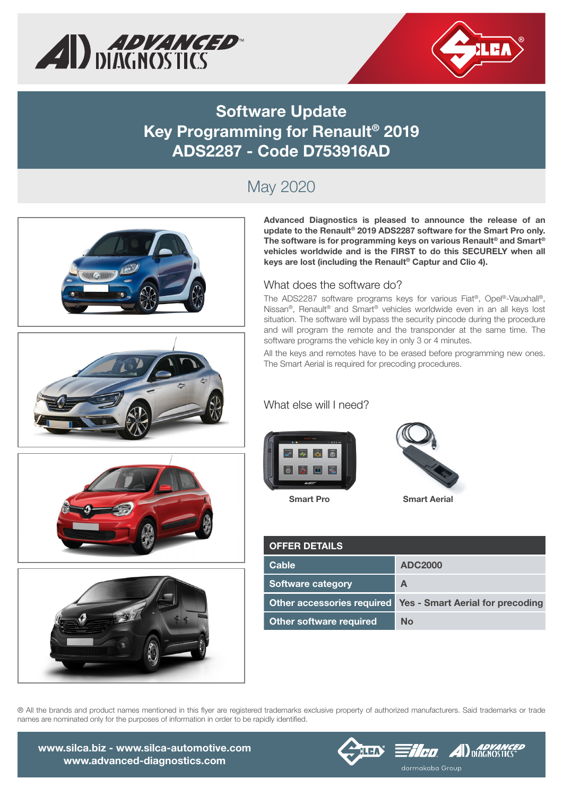



### **Software Update Key Programming for Renault® 2019 ADS2287 - Code D753916AD**

# May 2020









**Advanced Diagnostics is pleased to announce the release of an update to the Renault® 2019 ADS2287 software for the Smart Pro only. The software is for programming keys on various Renault® and Smart® vehicles worldwide and is the FIRST to do this SECURELY when all keys are lost (including the Renault® Captur and Clio 4).** 

#### What does the software do?

The ADS2287 software programs keys for various Fiat®, Opel®-Vauxhall®, Nissan®, Renault® and Smart® vehicles worldwide even in an all keys lost situation. The software will bypass the security pincode during the procedure and will program the remote and the transponder at the same time. The software programs the vehicle key in only 3 or 4 minutes.

All the keys and remotes have to be erased before programming new ones. The Smart Aerial is required for precoding procedures.

### What else will I need?



**Smart Pro Smart Aerial**



| <b>OFFER DETAILS</b>           |                                                               |
|--------------------------------|---------------------------------------------------------------|
| <b>Cable</b>                   | <b>ADC2000</b>                                                |
| <b>Software category</b>       | A                                                             |
|                                | Other accessories required   Yes - Smart Aerial for precoding |
| <b>Other software required</b> | No                                                            |

® All the brands and product names mentioned in this flyer are registered trademarks exclusive property of authorized manufacturers. Said trademarks or trade names are nominated only for the purposes of information in order to be rapidly identified.

www.silca.biz - www.silca-automotive.com www.advanced-diagnostics.com